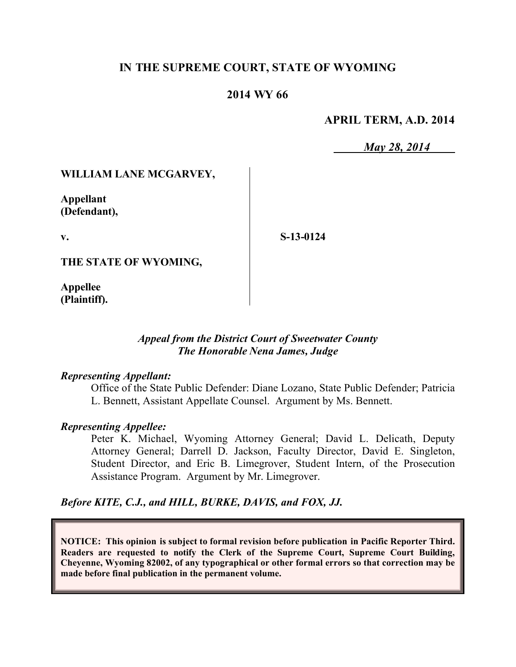# **IN THE SUPREME COURT, STATE OF WYOMING**

## **2014 WY 66**

### **APRIL TERM, A.D. 2014**

*May 28, 2014*

### **WILLIAM LANE MCGARVEY,**

**Appellant (Defendant),**

**v.**

**S-13-0124**

**THE STATE OF WYOMING,**

**Appellee (Plaintiff).**

### *Appeal from the District Court of Sweetwater County The Honorable Nena James, Judge*

#### *Representing Appellant:*

Office of the State Public Defender: Diane Lozano, State Public Defender; Patricia L. Bennett, Assistant Appellate Counsel. Argument by Ms. Bennett.

#### *Representing Appellee:*

Peter K. Michael, Wyoming Attorney General; David L. Delicath, Deputy Attorney General; Darrell D. Jackson, Faculty Director, David E. Singleton, Student Director, and Eric B. Limegrover, Student Intern, of the Prosecution Assistance Program. Argument by Mr. Limegrover.

*Before KITE, C.J., and HILL, BURKE, DAVIS, and FOX, JJ.*

**NOTICE: This opinion is subject to formal revision before publication in Pacific Reporter Third. Readers are requested to notify the Clerk of the Supreme Court, Supreme Court Building, Cheyenne, Wyoming 82002, of any typographical or other formal errors so that correction may be made before final publication in the permanent volume.**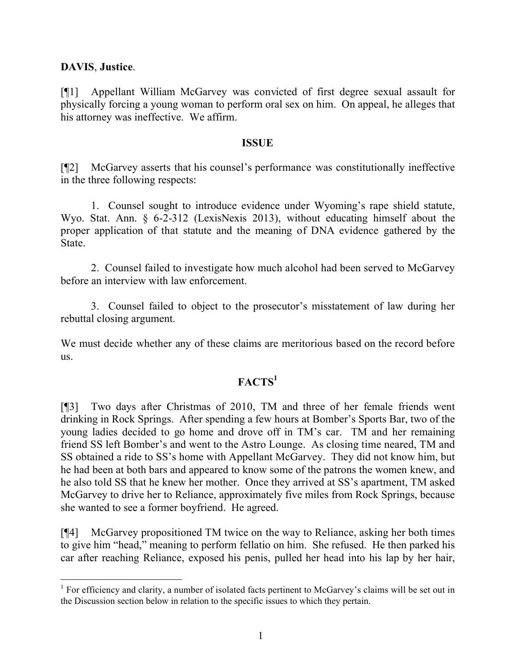## **DAVIS**, **Justice**.

[¶1] Appellant William McGarvey was convicted of first degree sexual assault for physically forcing a young woman to perform oral sex on him. On appeal, he alleges that his attorney was ineffective. We affirm.

### **ISSUE**

[¶2] McGarvey asserts that his counsel's performance was constitutionally ineffective in the three following respects:

1. Counsel sought to introduce evidence under Wyoming's rape shield statute, Wyo. Stat. Ann. § 6-2-312 (LexisNexis 2013), without educating himself about the proper application of that statute and the meaning of DNA evidence gathered by the State.

2. Counsel failed to investigate how much alcohol had been served to McGarvey before an interview with law enforcement.

3. Counsel failed to object to the prosecutor's misstatement of law during her rebuttal closing argument.

We must decide whether any of these claims are meritorious based on the record before us.

# **FACTS<sup>1</sup>**

[¶3] Two days after Christmas of 2010, TM and three of her female friends went drinking in Rock Springs. After spending a few hours at Bomber's Sports Bar, two of the young ladies decided to go home and drove off in TM's car. TM and her remaining friend SS left Bomber's and went to the Astro Lounge. As closing time neared, TM and SS obtained a ride to SS's home with Appellant McGarvey. They did not know him, but he had been at both bars and appeared to know some of the patrons the women knew, and he also told SS that he knew her mother. Once they arrived at SS's apartment, TM asked McGarvey to drive her to Reliance, approximately five miles from Rock Springs, because she wanted to see a former boyfriend. He agreed.

[¶4] McGarvey propositioned TM twice on the way to Reliance, asking her both times to give him "head," meaning to perform fellatio on him. She refused. He then parked his car after reaching Reliance, exposed his penis, pulled her head into his lap by her hair,

<sup>&</sup>lt;sup>1</sup> For efficiency and clarity, a number of isolated facts pertinent to McGarvey's claims will be set out in the Discussion section below in relation to the specific issues to which they pertain.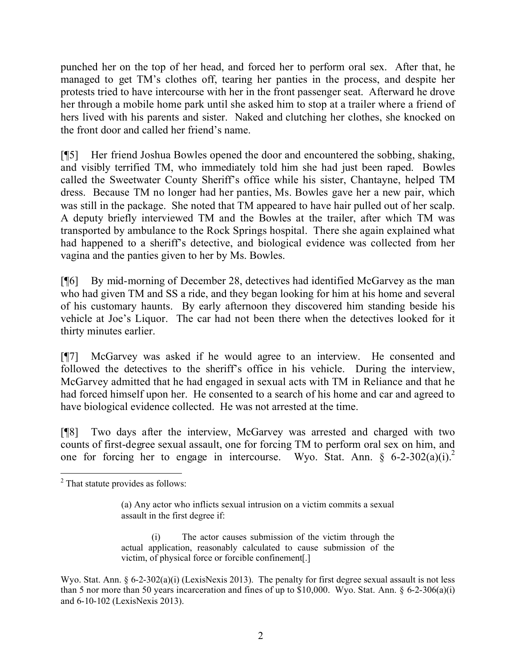punched her on the top of her head, and forced her to perform oral sex. After that, he managed to get TM's clothes off, tearing her panties in the process, and despite her protests tried to have intercourse with her in the front passenger seat. Afterward he drove her through a mobile home park until she asked him to stop at a trailer where a friend of hers lived with his parents and sister. Naked and clutching her clothes, she knocked on the front door and called her friend's name.

[¶5] Her friend Joshua Bowles opened the door and encountered the sobbing, shaking, and visibly terrified TM, who immediately told him she had just been raped. Bowles called the Sweetwater County Sheriff's office while his sister, Chantayne, helped TM dress. Because TM no longer had her panties, Ms. Bowles gave her a new pair, which was still in the package. She noted that TM appeared to have hair pulled out of her scalp. A deputy briefly interviewed TM and the Bowles at the trailer, after which TM was transported by ambulance to the Rock Springs hospital. There she again explained what had happened to a sheriff's detective, and biological evidence was collected from her vagina and the panties given to her by Ms. Bowles.

[¶6] By mid-morning of December 28, detectives had identified McGarvey as the man who had given TM and SS a ride, and they began looking for him at his home and several of his customary haunts. By early afternoon they discovered him standing beside his vehicle at Joe's Liquor. The car had not been there when the detectives looked for it thirty minutes earlier.

[¶7] McGarvey was asked if he would agree to an interview. He consented and followed the detectives to the sheriff's office in his vehicle. During the interview, McGarvey admitted that he had engaged in sexual acts with TM in Reliance and that he had forced himself upon her. He consented to a search of his home and car and agreed to have biological evidence collected. He was not arrested at the time.

[¶8] Two days after the interview, McGarvey was arrested and charged with two counts of first-degree sexual assault, one for forcing TM to perform oral sex on him, and one for forcing her to engage in intercourse. Wyo. Stat. Ann. §  $6-2-302(a)(i)^2$ .

 $\overline{a}$ <sup>2</sup> That statute provides as follows:

<sup>(</sup>a) Any actor who inflicts sexual intrusion on a victim commits a sexual assault in the first degree if:

<sup>(</sup>i) The actor causes submission of the victim through the actual application, reasonably calculated to cause submission of the victim, of physical force or forcible confinement[.]

Wyo. Stat. Ann. § 6-2-302(a)(i) (LexisNexis 2013). The penalty for first degree sexual assault is not less than 5 nor more than 50 years incarceration and fines of up to \$10,000. Wyo. Stat. Ann.  $\S$  6-2-306(a)(i) and 6-10-102 (LexisNexis 2013).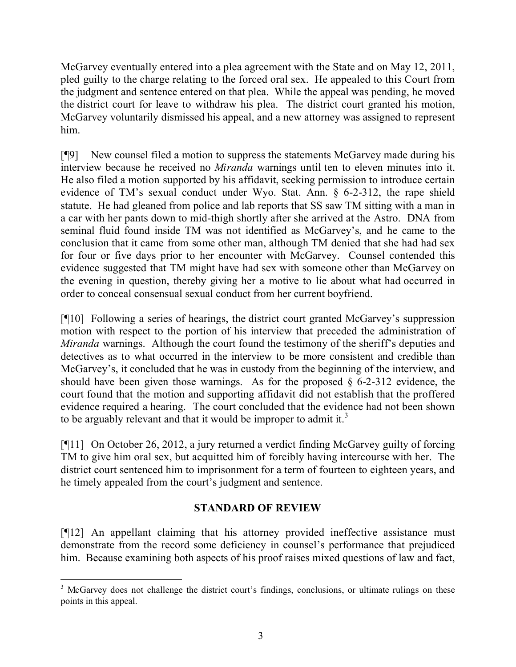McGarvey eventually entered into a plea agreement with the State and on May 12, 2011, pled guilty to the charge relating to the forced oral sex. He appealed to this Court from the judgment and sentence entered on that plea. While the appeal was pending, he moved the district court for leave to withdraw his plea. The district court granted his motion, McGarvey voluntarily dismissed his appeal, and a new attorney was assigned to represent him.

[¶9] New counsel filed a motion to suppress the statements McGarvey made during his interview because he received no *Miranda* warnings until ten to eleven minutes into it. He also filed a motion supported by his affidavit, seeking permission to introduce certain evidence of TM's sexual conduct under Wyo. Stat. Ann. § 6-2-312, the rape shield statute. He had gleaned from police and lab reports that SS saw TM sitting with a man in a car with her pants down to mid-thigh shortly after she arrived at the Astro. DNA from seminal fluid found inside TM was not identified as McGarvey's, and he came to the conclusion that it came from some other man, although TM denied that she had had sex for four or five days prior to her encounter with McGarvey. Counsel contended this evidence suggested that TM might have had sex with someone other than McGarvey on the evening in question, thereby giving her a motive to lie about what had occurred in order to conceal consensual sexual conduct from her current boyfriend.

[¶10] Following a series of hearings, the district court granted McGarvey's suppression motion with respect to the portion of his interview that preceded the administration of *Miranda* warnings. Although the court found the testimony of the sheriff's deputies and detectives as to what occurred in the interview to be more consistent and credible than McGarvey's, it concluded that he was in custody from the beginning of the interview, and should have been given those warnings. As for the proposed  $\S$  6-2-312 evidence, the court found that the motion and supporting affidavit did not establish that the proffered evidence required a hearing. The court concluded that the evidence had not been shown to be arguably relevant and that it would be improper to admit it.<sup>3</sup>

[¶11] On October 26, 2012, a jury returned a verdict finding McGarvey guilty of forcing TM to give him oral sex, but acquitted him of forcibly having intercourse with her. The district court sentenced him to imprisonment for a term of fourteen to eighteen years, and he timely appealed from the court's judgment and sentence.

# **STANDARD OF REVIEW**

[¶12] An appellant claiming that his attorney provided ineffective assistance must demonstrate from the record some deficiency in counsel's performance that prejudiced him. Because examining both aspects of his proof raises mixed questions of law and fact,

<sup>&</sup>lt;sup>3</sup> McGarvey does not challenge the district court's findings, conclusions, or ultimate rulings on these points in this appeal.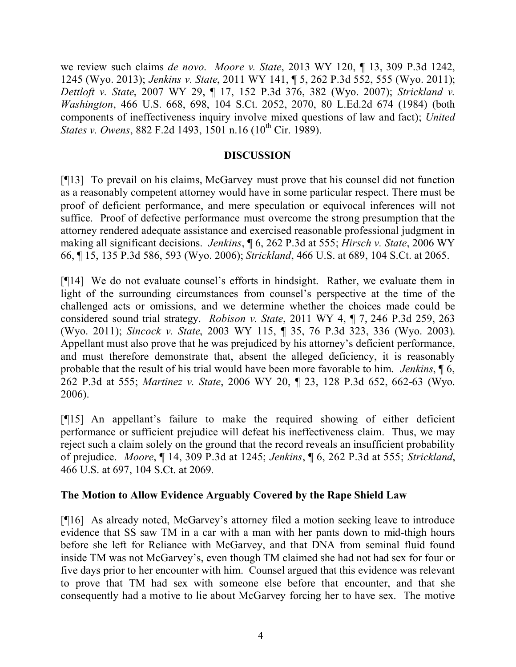we review such claims *de novo*. *Moore v. State*, 2013 WY 120, ¶ 13, 309 P.3d 1242, 1245 (Wyo. 2013); *Jenkins v. State*, 2011 WY 141, ¶ 5, 262 P.3d 552, 555 (Wyo. 2011); *Dettloft v. State*, 2007 WY 29, ¶ 17, 152 P.3d 376, 382 (Wyo. 2007); *Strickland v. Washington*, 466 U.S. 668, 698, 104 S.Ct. 2052, 2070, 80 L.Ed.2d 674 (1984) (both components of ineffectiveness inquiry involve mixed questions of law and fact); *United States v. Owens*, 882 F.2d 1493, 1501 n.16 (10<sup>th</sup> Cir. 1989).

### **DISCUSSION**

[¶13] To prevail on his claims, McGarvey must prove that his counsel did not function as a reasonably competent attorney would have in some particular respect. There must be proof of deficient performance, and mere speculation or equivocal inferences will not suffice. Proof of defective performance must overcome the strong presumption that the attorney rendered adequate assistance and exercised reasonable professional judgment in making all significant decisions. *Jenkins*, ¶ 6, 262 P.3d at 555; *Hirsch v. State*, 2006 WY 66, ¶ 15, 135 P.3d 586, 593 (Wyo. 2006); *Strickland*, 466 U.S. at 689, 104 S.Ct. at 2065.

[¶14] We do not evaluate counsel's efforts in hindsight. Rather, we evaluate them in light of the surrounding circumstances from counsel's perspective at the time of the challenged acts or omissions, and we determine whether the choices made could be considered sound trial strategy. *Robison v. State*, 2011 WY 4, ¶ 7, 246 P.3d 259, 263 (Wyo. 2011); *Sincock v. State*, 2003 WY 115, ¶ 35, 76 P.3d 323, 336 (Wyo. 2003). Appellant must also prove that he was prejudiced by his attorney's deficient performance, and must therefore demonstrate that, absent the alleged deficiency, it is reasonably probable that the result of his trial would have been more favorable to him. *Jenkins*, ¶ 6, 262 P.3d at 555; *Martinez v. State*, 2006 WY 20, ¶ 23, 128 P.3d 652, 662-63 (Wyo. 2006).

[¶15] An appellant's failure to make the required showing of either deficient performance or sufficient prejudice will defeat his ineffectiveness claim. Thus, we may reject such a claim solely on the ground that the record reveals an insufficient probability of prejudice. *Moore*, ¶ 14, 309 P.3d at 1245; *Jenkins*, ¶ 6, 262 P.3d at 555; *Strickland*, 466 U.S. at 697, 104 S.Ct. at 2069*.*

## **The Motion to Allow Evidence Arguably Covered by the Rape Shield Law**

[¶16] As already noted, McGarvey's attorney filed a motion seeking leave to introduce evidence that SS saw TM in a car with a man with her pants down to mid-thigh hours before she left for Reliance with McGarvey, and that DNA from seminal fluid found inside TM was not McGarvey's, even though TM claimed she had not had sex for four or five days prior to her encounter with him. Counsel argued that this evidence was relevant to prove that TM had sex with someone else before that encounter, and that she consequently had a motive to lie about McGarvey forcing her to have sex. The motive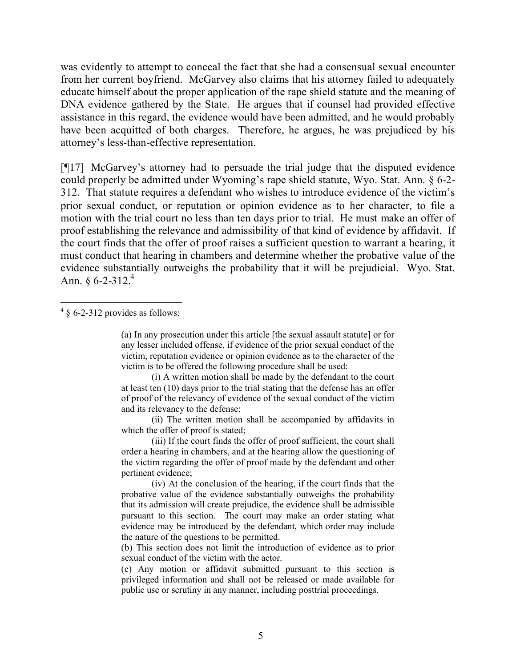was evidently to attempt to conceal the fact that she had a consensual sexual encounter from her current boyfriend. McGarvey also claims that his attorney failed to adequately educate himself about the proper application of the rape shield statute and the meaning of DNA evidence gathered by the State. He argues that if counsel had provided effective assistance in this regard, the evidence would have been admitted, and he would probably have been acquitted of both charges. Therefore, he argues, he was prejudiced by his attorney's less-than-effective representation.

[¶17] McGarvey's attorney had to persuade the trial judge that the disputed evidence could properly be admitted under Wyoming's rape shield statute, Wyo. Stat. Ann. § 6-2- 312. That statute requires a defendant who wishes to introduce evidence of the victim's prior sexual conduct, or reputation or opinion evidence as to her character, to file a motion with the trial court no less than ten days prior to trial. He must make an offer of proof establishing the relevance and admissibility of that kind of evidence by affidavit. If the court finds that the offer of proof raises a sufficient question to warrant a hearing, it must conduct that hearing in chambers and determine whether the probative value of the evidence substantially outweighs the probability that it will be prejudicial. Wyo. Stat. Ann.  $§ 6 - 2 - 312.4$ 

(i) A written motion shall be made by the defendant to the court at least ten (10) days prior to the trial stating that the defense has an offer of proof of the relevancy of evidence of the sexual conduct of the victim and its relevancy to the defense;

(ii) The written motion shall be accompanied by affidavits in which the offer of proof is stated;

(iii) If the court finds the offer of proof sufficient, the court shall order a hearing in chambers, and at the hearing allow the questioning of the victim regarding the offer of proof made by the defendant and other pertinent evidence;

(iv) At the conclusion of the hearing, if the court finds that the probative value of the evidence substantially outweighs the probability that its admission will create prejudice, the evidence shall be admissible pursuant to this section. The court may make an order stating what evidence may be introduced by the defendant, which order may include the nature of the questions to be permitted.

(b) This section does not limit the introduction of evidence as to prior sexual conduct of the victim with the actor.

(c) Any motion or affidavit submitted pursuant to this section is privileged information and shall not be released or made available for public use or scrutiny in any manner, including posttrial proceedings.

  $4 \S 6$ -2-312 provides as follows:

<sup>(</sup>a) In any prosecution under this article [the sexual assault statute] or for any lesser included offense, if evidence of the prior sexual conduct of the victim, reputation evidence or opinion evidence as to the character of the victim is to be offered the following procedure shall be used: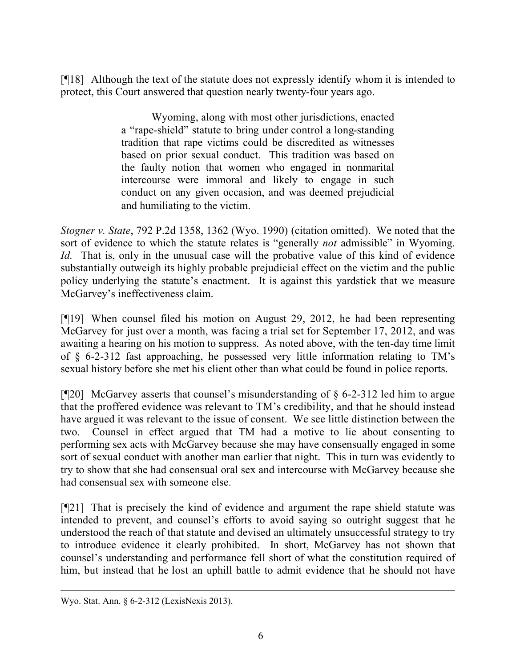[¶18] Although the text of the statute does not expressly identify whom it is intended to protect, this Court answered that question nearly twenty-four years ago.

> Wyoming, along with most other jurisdictions, enacted a "rape-shield" statute to bring under control a long-standing tradition that rape victims could be discredited as witnesses based on prior sexual conduct. This tradition was based on the faulty notion that women who engaged in nonmarital intercourse were immoral and likely to engage in such conduct on any given occasion, and was deemed prejudicial and humiliating to the victim.

*Stogner v. State*, 792 P.2d 1358, 1362 (Wyo. 1990) (citation omitted). We noted that the sort of evidence to which the statute relates is "generally *not* admissible" in Wyoming. *Id.* That is, only in the unusual case will the probative value of this kind of evidence substantially outweigh its highly probable prejudicial effect on the victim and the public policy underlying the statute's enactment.It is against this yardstick that we measure McGarvey's ineffectiveness claim.

[¶19] When counsel filed his motion on August 29, 2012, he had been representing McGarvey for just over a month, was facing a trial set for September 17, 2012, and was awaiting a hearing on his motion to suppress. As noted above, with the ten-day time limit of § 6-2-312 fast approaching, he possessed very little information relating to TM's sexual history before she met his client other than what could be found in police reports.

[ $[$ [20] McGarvey asserts that counsel's misunderstanding of  $\S$  6-2-312 led him to argue that the proffered evidence was relevant to TM's credibility, and that he should instead have argued it was relevant to the issue of consent. We see little distinction between the two. Counsel in effect argued that TM had a motive to lie about consenting to performing sex acts with McGarvey because she may have consensually engaged in some sort of sexual conduct with another man earlier that night. This in turn was evidently to try to show that she had consensual oral sex and intercourse with McGarvey because she had consensual sex with someone else.

[¶21] That is precisely the kind of evidence and argument the rape shield statute was intended to prevent, and counsel's efforts to avoid saying so outright suggest that he understood the reach of that statute and devised an ultimately unsuccessful strategy to try to introduce evidence it clearly prohibited. In short, McGarvey has not shown that counsel's understanding and performance fell short of what the constitution required of him, but instead that he lost an uphill battle to admit evidence that he should not have

 $\overline{a}$ Wyo. Stat. Ann. § 6-2-312 (LexisNexis 2013).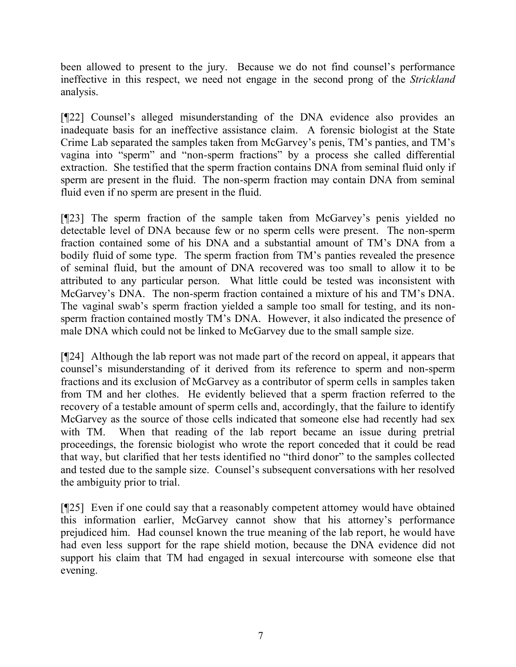been allowed to present to the jury. Because we do not find counsel's performance ineffective in this respect, we need not engage in the second prong of the *Strickland* analysis.

[¶22] Counsel's alleged misunderstanding of the DNA evidence also provides an inadequate basis for an ineffective assistance claim. A forensic biologist at the State Crime Lab separated the samples taken from McGarvey's penis, TM's panties, and TM's vagina into "sperm" and "non-sperm fractions" by a process she called differential extraction. She testified that the sperm fraction contains DNA from seminal fluid only if sperm are present in the fluid. The non-sperm fraction may contain DNA from seminal fluid even if no sperm are present in the fluid.

[¶23] The sperm fraction of the sample taken from McGarvey's penis yielded no detectable level of DNA because few or no sperm cells were present. The non-sperm fraction contained some of his DNA and a substantial amount of TM's DNA from a bodily fluid of some type. The sperm fraction from TM's panties revealed the presence of seminal fluid, but the amount of DNA recovered was too small to allow it to be attributed to any particular person. What little could be tested was inconsistent with McGarvey's DNA. The non-sperm fraction contained a mixture of his and TM's DNA. The vaginal swab's sperm fraction yielded a sample too small for testing, and its nonsperm fraction contained mostly TM's DNA. However, it also indicated the presence of male DNA which could not be linked to McGarvey due to the small sample size.

[¶24] Although the lab report was not made part of the record on appeal, it appears that counsel's misunderstanding of it derived from its reference to sperm and non-sperm fractions and its exclusion of McGarvey as a contributor of sperm cells in samples taken from TM and her clothes. He evidently believed that a sperm fraction referred to the recovery of a testable amount of sperm cells and, accordingly, that the failure to identify McGarvey as the source of those cells indicated that someone else had recently had sex with TM. When that reading of the lab report became an issue during pretrial proceedings, the forensic biologist who wrote the report conceded that it could be read that way, but clarified that her tests identified no "third donor" to the samples collected and tested due to the sample size. Counsel's subsequent conversations with her resolved the ambiguity prior to trial.

[¶25] Even if one could say that a reasonably competent attorney would have obtained this information earlier, McGarvey cannot show that his attorney's performance prejudiced him. Had counsel known the true meaning of the lab report, he would have had even less support for the rape shield motion, because the DNA evidence did not support his claim that TM had engaged in sexual intercourse with someone else that evening.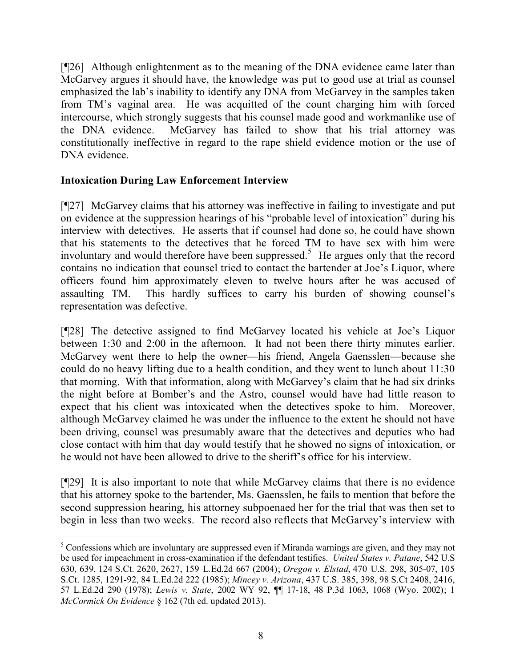[¶26] Although enlightenment as to the meaning of the DNA evidence came later than McGarvey argues it should have, the knowledge was put to good use at trial as counsel emphasized the lab's inability to identify any DNA from McGarvey in the samples taken from TM's vaginal area. He was acquitted of the count charging him with forced intercourse, which strongly suggests that his counsel made good and workmanlike use of the DNA evidence. McGarvey has failed to show that his trial attorney was constitutionally ineffective in regard to the rape shield evidence motion or the use of DNA evidence.

# **Intoxication During Law Enforcement Interview**

 $\overline{a}$ 

[¶27] McGarvey claims that his attorney was ineffective in failing to investigate and put on evidence at the suppression hearings of his "probable level of intoxication" during his interview with detectives. He asserts that if counsel had done so, he could have shown that his statements to the detectives that he forced TM to have sex with him were involuntary and would therefore have been suppressed.<sup>5</sup> He argues only that the record contains no indication that counsel tried to contact the bartender at Joe's Liquor, where officers found him approximately eleven to twelve hours after he was accused of assaulting TM. This hardly suffices to carry his burden of showing counsel's representation was defective.

[¶28] The detective assigned to find McGarvey located his vehicle at Joe's Liquor between 1:30 and 2:00 in the afternoon. It had not been there thirty minutes earlier. McGarvey went there to help the owner—his friend, Angela Gaensslen—because she could do no heavy lifting due to a health condition, and they went to lunch about 11:30 that morning. With that information, along with McGarvey's claim that he had six drinks the night before at Bomber's and the Astro, counsel would have had little reason to expect that his client was intoxicated when the detectives spoke to him. Moreover, although McGarvey claimed he was under the influence to the extent he should not have been driving, counsel was presumably aware that the detectives and deputies who had close contact with him that day would testify that he showed no signs of intoxication, or he would not have been allowed to drive to the sheriff's office for his interview.

[¶29] It is also important to note that while McGarvey claims that there is no evidence that his attorney spoke to the bartender, Ms. Gaensslen, he fails to mention that before the second suppression hearing, his attorney subpoenaed her for the trial that was then set to begin in less than two weeks. The record also reflects that McGarvey's interview with

<sup>&</sup>lt;sup>5</sup> Confessions which are involuntary are suppressed even if Miranda warnings are given, and they may not be used for impeachment in cross-examination if the defendant testifies. *United States v. Patane*, 542 U.S 630, 639, 124 S.Ct. 2620, 2627, 159 L.Ed.2d 667 (2004); *Oregon v. Elstad*, 470 U.S. 298, 305-07, 105 S.Ct. 1285, 1291-92, 84 L.Ed.2d 222 (1985); *Mincey v. Arizona*, 437 U.S. 385, 398, 98 S.Ct 2408, 2416, 57 L.Ed.2d 290 (1978); *Lewis v. State*, 2002 WY 92, ¶¶ 17-18, 48 P.3d 1063, 1068 (Wyo. 2002); 1 *McCormick On Evidence* § 162 (7th ed. updated 2013).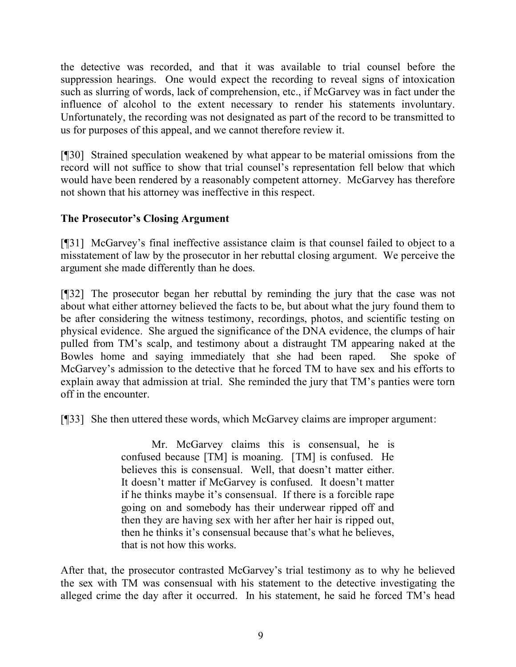the detective was recorded, and that it was available to trial counsel before the suppression hearings. One would expect the recording to reveal signs of intoxication such as slurring of words, lack of comprehension, etc., if McGarvey was in fact under the influence of alcohol to the extent necessary to render his statements involuntary. Unfortunately, the recording was not designated as part of the record to be transmitted to us for purposes of this appeal, and we cannot therefore review it.

[¶30] Strained speculation weakened by what appear to be material omissions from the record will not suffice to show that trial counsel's representation fell below that which would have been rendered by a reasonably competent attorney. McGarvey has therefore not shown that his attorney was ineffective in this respect.

# **The Prosecutor's Closing Argument**

[¶31] McGarvey's final ineffective assistance claim is that counsel failed to object to a misstatement of law by the prosecutor in her rebuttal closing argument. We perceive the argument she made differently than he does.

[¶32] The prosecutor began her rebuttal by reminding the jury that the case was not about what either attorney believed the facts to be, but about what the jury found them to be after considering the witness testimony, recordings, photos, and scientific testing on physical evidence. She argued the significance of the DNA evidence, the clumps of hair pulled from TM's scalp, and testimony about a distraught TM appearing naked at the Bowles home and saying immediately that she had been raped. She spoke of McGarvey's admission to the detective that he forced TM to have sex and his efforts to explain away that admission at trial. She reminded the jury that TM's panties were torn off in the encounter.

[¶33] She then uttered these words, which McGarvey claims are improper argument:

Mr. McGarvey claims this is consensual, he is confused because [TM] is moaning. [TM] is confused. He believes this is consensual. Well, that doesn't matter either. It doesn't matter if McGarvey is confused. It doesn't matter if he thinks maybe it's consensual. If there is a forcible rape going on and somebody has their underwear ripped off and then they are having sex with her after her hair is ripped out, then he thinks it's consensual because that's what he believes, that is not how this works.

After that, the prosecutor contrasted McGarvey's trial testimony as to why he believed the sex with TM was consensual with his statement to the detective investigating the alleged crime the day after it occurred. In his statement, he said he forced TM's head